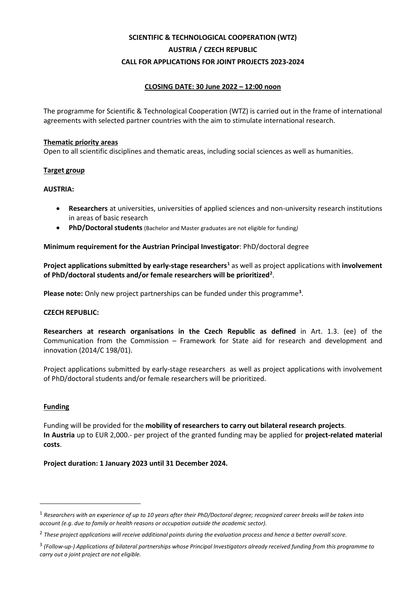# **SCIENTIFIC & TECHNOLOGICAL COOPERATION (WTZ) AUSTRIA / CZECH REPUBLIC CALL FOR APPLICATIONS FOR JOINT PROJECTS 2023-2024**

# **CLOSING DATE: 30 June 2022 – 12:00 noon**

The programme for Scientific & Technological Cooperation (WTZ) is carried out in the frame of international agreements with selected partner countries with the aim to stimulate international research.

#### **Thematic priority areas**

Open to all scientific disciplines and thematic areas, including social sciences as well as humanities.

### **Target group**

#### **AUSTRIA:**

- **Researchers** at universities, universities of applied sciences and non-university research institutions in areas of basic research
- **PhD/Doctoral students** (Bachelor and Master graduates are not eligible for funding*)*

### **Minimum requirement for the Austrian Principal Investigator**: PhD/doctoral degree

**Project applications submitted by early-stage researchers[1](#page-0-0)** as well as project applications with **involvement of PhD/doctoral students and/or female researchers will be prioritized[2](#page-0-1)** .

**Please note:** Only new project partnerships can be funded under this programme**[3](#page-0-2)** .

#### **CZECH REPUBLIC:**

**Researchers at research organisations in the Czech Republic as defined** in Art. 1.3. (ee) of the Communication from the Commission – Framework for State aid for research and development and innovation (2014/C 198/01).

Project applications submitted by early-stage researchers as well as project applications with involvement of PhD/doctoral students and/or female researchers will be prioritized.

#### **Funding**

Funding will be provided for the **mobility of researchers to carry out bilateral research projects**. **In Austria** up to EUR 2,000.- per project of the granted funding may be applied for **project-related material costs**.

#### **Project duration: 1 January 2023 until 31 December 2024.**

<span id="page-0-0"></span><sup>1</sup> *Researchers with an experience of up to 10 years after their PhD/Doctoral degree; recognized career breaks will be taken into account (e.g. due to family or health reasons or occupation outside the academic sector).*

<span id="page-0-1"></span><sup>2</sup> *These project applications will receive additional points during the evaluation process and hence a better overall score.*

<span id="page-0-2"></span><sup>3</sup> *(Follow-up-) Applications of bilateral partnerships whose Principal Investigators already received funding from this programme to carry out a joint project are not eligible.*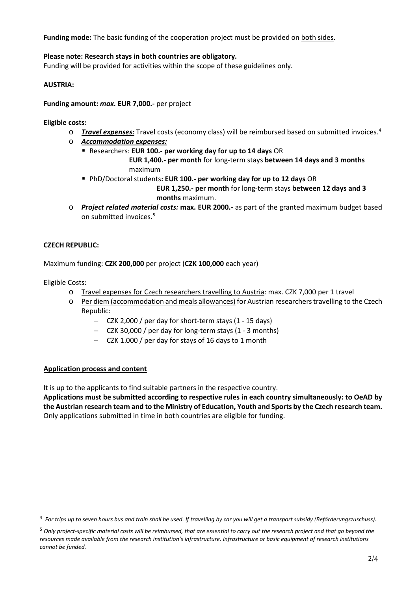**Funding mode:** The basic funding of the cooperation project must be provided on both sides.

# **Please note: Research stays in both countries are obligatory.**

Funding will be provided for activities within the scope of these guidelines only.

# **AUSTRIA:**

**Funding amount:** *max.* **EUR 7,000.-** per project

**Eligible costs:**

- o *Travel expenses:* Travel costs (economy class) will be reimbursed based on submitted invoices.[4](#page-1-0)
- o *Accommodation expenses:*
	- Researchers: **EUR 100.- per working day for up to 14 days** OR  **EUR 1,400.- per month** for long-term stays **between 14 days and 3 months** maximum
	- PhD/Doctoral students**: EUR 100.- per working day for up to 12 days** OR

 **EUR 1,250.- per month** for long-term stays **between 12 days and 3 months** maximum.

o *Project related material costs:* **max. EUR 2000.-** as part of the granted maximum budget based on submitted invoices.<sup>[5](#page-1-1)</sup>

# **CZECH REPUBLIC:**

Maximum funding: **CZK 200,000** per project (**CZK 100,000** each year)

Eligible Costs:

- o Travel expenses for Czech researchers travelling to Austria: max. CZK 7,000 per 1 travel
- o Per diem (accommodation and meals allowances) for Austrian researchers travelling to the Czech Republic:
	- − CZK 2,000 / per day for short-term stays (1 15 days)
	- − CZK 30,000 / per day for long-term stays (1 3 months)
	- − CZK 1.000 / per day for stays of 16 days to 1 month

# **Application process and content**

It is up to the applicants to find suitable partners in the respective country.

**Applications must be submitted according to respective rules in each country simultaneously: to OeAD by the Austrian research team and to the Ministry of Education, Youth and Sports by the Czech research team.** Only applications submitted in time in both countries are eligible for funding.

<span id="page-1-0"></span><sup>4</sup> *For trips up to seven hours bus and train shall be used. If travelling by car you will get a transport subsidy (Beförderungszuschuss).*

<span id="page-1-1"></span><sup>5</sup> *Only project-specific material costs will be reimbursed, that are essential to carry out the research project and that go beyond the resources made available from the research institution's infrastructure. Infrastructure or basic equipment of research institutions cannot be funded.*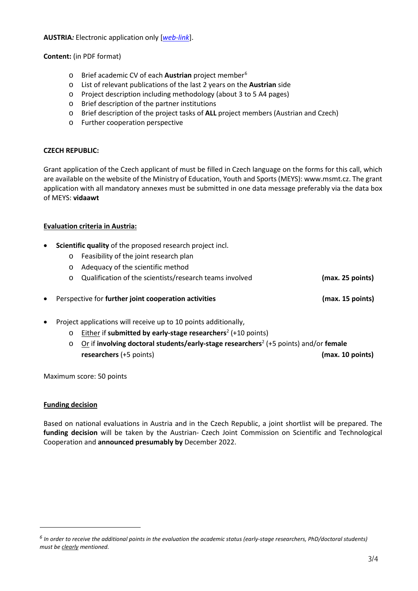**AUSTRIA***:* Electronic application only [*[web-link](https://asp.sop.co.at/oead/antrag?call=2023_CZ)*].

**Content:** (in PDF format)

- o Brief academic CV of each **Austrian** project member[6](#page-2-0)
- o List of relevant publications of the last 2 years on the **Austrian** side
- o Project description including methodology (about 3 to 5 A4 pages)
- o Brief description of the partner institutions
- o Brief description of the project tasks of **ALL** project members (Austrian and Czech)
- o Further cooperation perspective

### **CZECH REPUBLIC:**

Grant application of the Czech applicant of must be filled in Czech language on the forms for this call, which are available on the website of the Ministry of Education, Youth and Sports (MEYS): www.msmt.cz. The grant application with all mandatory annexes must be submitted in one data message preferably via the data box of MEYS: **vidaawt**

### **Evaluation criteria in Austria:**

- **Scientific quality** of the proposed research project incl.
	- o Feasibility of the joint research plan
	- o Adequacy of the scientific method
	- o Qualification of the scientists/research teams involved **(max. 25 points)**
- Perspective for **further joint cooperation activities (max. 15 points)**
- Project applications will receive up to 10 points additionally,
	- o Either if **submitted by early-stage researchers**<sup>2</sup> (+10 points)
	- o Or if **involving doctoral students/early-stage researchers**<sup>2</sup> (+5 points) and/or **female researchers** (+5 points) **(max. 10 points)**

Maximum score: 50 points

### **Funding decision**

Based on national evaluations in Austria and in the Czech Republic, a joint shortlist will be prepared. The **funding decision** will be taken by the Austrian- Czech Joint Commission on Scientific and Technological Cooperation and **announced presumably by** December 2022.

<span id="page-2-0"></span>*<sup>6</sup> In order to receive the additional points in the evaluation the academic status (early-stage researchers, PhD/doctoral students) must be clearly mentioned.*